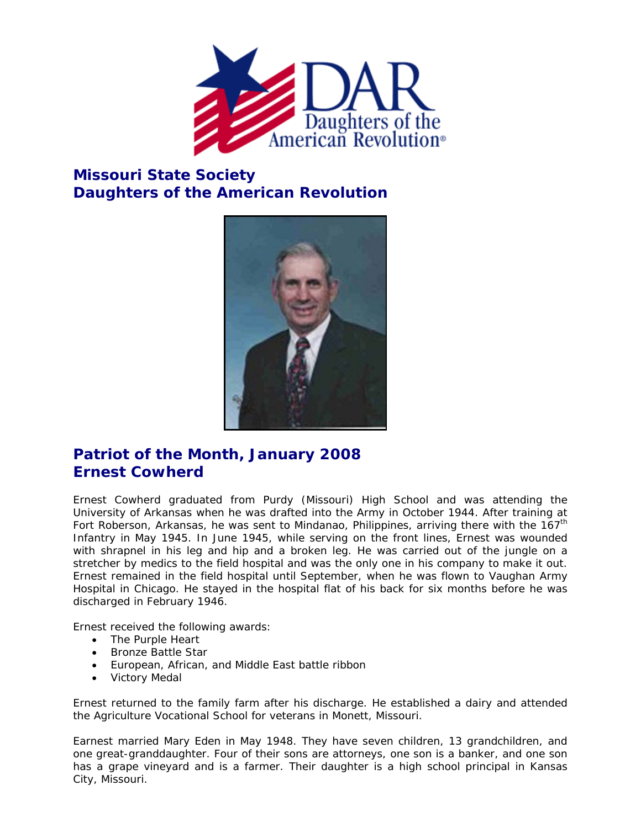

## **Missouri State Society Daughters of the American Revolution**



## **Patriot of the Month, January 2008 Ernest Cowherd**

Ernest Cowherd graduated from Purdy (Missouri) High School and was attending the University of Arkansas when he was drafted into the Army in October 1944. After training at Fort Roberson, Arkansas, he was sent to Mindanao, Philippines, arriving there with the 167<sup>th</sup> Infantry in May 1945. In June 1945, while serving on the front lines, Ernest was wounded with shrapnel in his leg and hip and a broken leg. He was carried out of the jungle on a stretcher by medics to the field hospital and was the only one in his company to make it out. Ernest remained in the field hospital until September, when he was flown to Vaughan Army Hospital in Chicago. He stayed in the hospital flat of his back for six months before he was discharged in February 1946.

Ernest received the following awards:

- The Purple Heart
- Bronze Battle Star
- European, African, and Middle East battle ribbon
- Victory Medal

Ernest returned to the family farm after his discharge. He established a dairy and attended the Agriculture Vocational School for veterans in Monett, Missouri.

Earnest married Mary Eden in May 1948. They have seven children, 13 grandchildren, and one great-granddaughter. Four of their sons are attorneys, one son is a banker, and one son has a grape vineyard and is a farmer. Their daughter is a high school principal in Kansas City, Missouri.